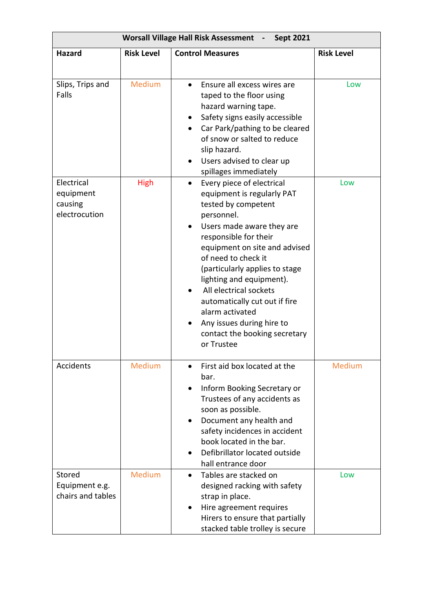| <b>Worsall Village Hall Risk Assessment</b> -<br><b>Sept 2021</b> |                   |                                                                                                                                                                                                                                                                                                                                                                                                                                                 |                   |  |  |
|-------------------------------------------------------------------|-------------------|-------------------------------------------------------------------------------------------------------------------------------------------------------------------------------------------------------------------------------------------------------------------------------------------------------------------------------------------------------------------------------------------------------------------------------------------------|-------------------|--|--|
| <b>Hazard</b>                                                     | <b>Risk Level</b> | <b>Control Measures</b>                                                                                                                                                                                                                                                                                                                                                                                                                         | <b>Risk Level</b> |  |  |
| Slips, Trips and<br>Falls                                         | <b>Medium</b>     | Ensure all excess wires are<br>$\bullet$<br>taped to the floor using<br>hazard warning tape.<br>Safety signs easily accessible<br>$\bullet$<br>Car Park/pathing to be cleared<br>of snow or salted to reduce<br>slip hazard.<br>Users advised to clear up<br>spillages immediately                                                                                                                                                              | Low               |  |  |
| Electrical<br>equipment<br>causing<br>electrocution               | <b>High</b>       | Every piece of electrical<br>$\bullet$<br>equipment is regularly PAT<br>tested by competent<br>personnel.<br>Users made aware they are<br>responsible for their<br>equipment on site and advised<br>of need to check it<br>(particularly applies to stage<br>lighting and equipment).<br>All electrical sockets<br>automatically cut out if fire<br>alarm activated<br>Any issues during hire to<br>contact the booking secretary<br>or Trustee | Low               |  |  |
| Accidents                                                         | Medium            | First aid box located at the<br>bar.<br>Inform Booking Secretary or<br>$\bullet$<br>Trustees of any accidents as<br>soon as possible.<br>Document any health and<br>safety incidences in accident<br>book located in the bar.<br>Defibrillator located outside<br>$\bullet$<br>hall entrance door                                                                                                                                               | <b>Medium</b>     |  |  |
| Stored<br>Equipment e.g.<br>chairs and tables                     | Medium            | Tables are stacked on<br>$\bullet$<br>designed racking with safety<br>strap in place.<br>Hire agreement requires<br>Hirers to ensure that partially<br>stacked table trolley is secure                                                                                                                                                                                                                                                          | Low               |  |  |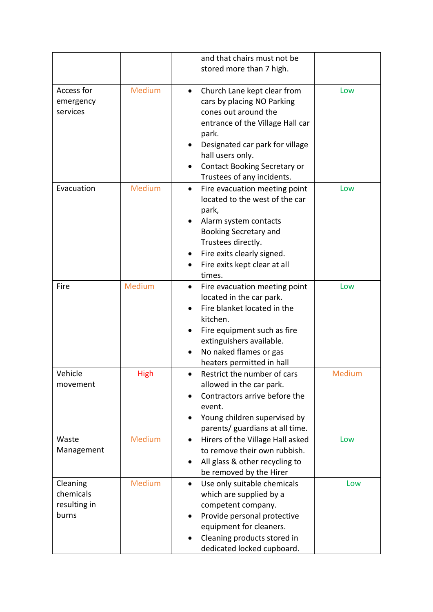|                                                |               | and that chairs must not be<br>stored more than 7 high.                                                                                                                                                                                                                 |        |
|------------------------------------------------|---------------|-------------------------------------------------------------------------------------------------------------------------------------------------------------------------------------------------------------------------------------------------------------------------|--------|
| Access for<br>emergency<br>services            | Medium        | Church Lane kept clear from<br>$\bullet$<br>cars by placing NO Parking<br>cones out around the<br>entrance of the Village Hall car<br>park.<br>Designated car park for village<br>hall users only.<br><b>Contact Booking Secretary or</b><br>Trustees of any incidents. | Low    |
| Evacuation                                     | <b>Medium</b> | Fire evacuation meeting point<br>$\bullet$<br>located to the west of the car<br>park,<br>Alarm system contacts<br>Booking Secretary and<br>Trustees directly.<br>Fire exits clearly signed.<br>Fire exits kept clear at all<br>times.                                   | Low    |
| Fire                                           | Medium        | Fire evacuation meeting point<br>$\bullet$<br>located in the car park.<br>Fire blanket located in the<br>kitchen.<br>Fire equipment such as fire<br>extinguishers available.<br>No naked flames or gas<br>heaters permitted in hall                                     | Low    |
| Vehicle<br>movement                            | High          | Restrict the number of cars<br>allowed in the car park.<br>Contractors arrive before the<br>event.<br>Young children supervised by<br>parents/ guardians at all time.                                                                                                   | Medium |
| Waste<br>Management                            | Medium        | Hirers of the Village Hall asked<br>$\bullet$<br>to remove their own rubbish.<br>All glass & other recycling to<br>be removed by the Hirer                                                                                                                              | Low    |
| Cleaning<br>chemicals<br>resulting in<br>burns | Medium        | Use only suitable chemicals<br>$\bullet$<br>which are supplied by a<br>competent company.<br>Provide personal protective<br>$\bullet$<br>equipment for cleaners.<br>Cleaning products stored in<br>dedicated locked cupboard.                                           | Low    |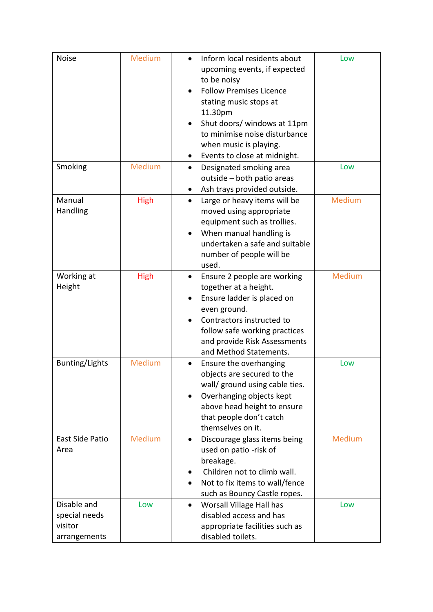| <b>Noise</b>                                            | Medium      | Inform local residents about<br>$\bullet$<br>upcoming events, if expected<br>to be noisy<br><b>Follow Premises Licence</b><br>stating music stops at<br>11.30pm<br>Shut doors/ windows at 11pm<br>$\bullet$<br>to minimise noise disturbance                      | Low           |
|---------------------------------------------------------|-------------|-------------------------------------------------------------------------------------------------------------------------------------------------------------------------------------------------------------------------------------------------------------------|---------------|
|                                                         |             | when music is playing.<br>Events to close at midnight.                                                                                                                                                                                                            |               |
| Smoking                                                 | Medium      | Designated smoking area<br>$\bullet$<br>outside - both patio areas<br>Ash trays provided outside.<br>٠                                                                                                                                                            | Low           |
| Manual<br>Handling                                      | <b>High</b> | Large or heavy items will be<br>$\bullet$<br>moved using appropriate<br>equipment such as trollies.<br>When manual handling is<br>$\bullet$<br>undertaken a safe and suitable<br>number of people will be<br>used.                                                | Medium        |
| Working at<br>Height                                    | <b>High</b> | Ensure 2 people are working<br>$\bullet$<br>together at a height.<br>Ensure ladder is placed on<br>$\bullet$<br>even ground.<br>Contractors instructed to<br>$\bullet$<br>follow safe working practices<br>and provide Risk Assessments<br>and Method Statements. | Medium        |
| <b>Bunting/Lights</b>                                   | Medium      | Ensure the overhanging<br>objects are secured to the<br>wall/ ground using cable ties.<br>Overhanging objects kept<br>above head height to ensure<br>that people don't catch<br>themselves on it.                                                                 | Low           |
| <b>East Side Patio</b><br>Area                          | Medium      | Discourage glass items being<br>$\bullet$<br>used on patio -risk of<br>breakage.<br>Children not to climb wall.<br>Not to fix items to wall/fence<br>such as Bouncy Castle ropes.                                                                                 | <b>Medium</b> |
| Disable and<br>special needs<br>visitor<br>arrangements | Low         | Worsall Village Hall has<br>disabled access and has<br>appropriate facilities such as<br>disabled toilets.                                                                                                                                                        | Low           |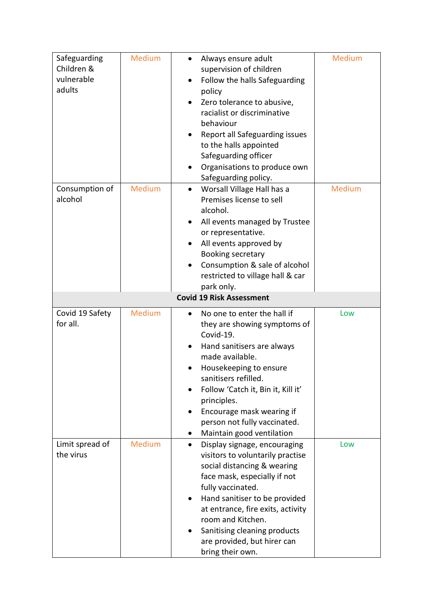| Safeguarding    | Medium | Always ensure adult<br>$\bullet$           | Medium |
|-----------------|--------|--------------------------------------------|--------|
| Children &      |        | supervision of children                    |        |
| vulnerable      |        | Follow the halls Safeguarding<br>$\bullet$ |        |
| adults          |        | policy                                     |        |
|                 |        | Zero tolerance to abusive,<br>$\bullet$    |        |
|                 |        | racialist or discriminative                |        |
|                 |        | behaviour                                  |        |
|                 |        | Report all Safeguarding issues             |        |
|                 |        | to the halls appointed                     |        |
|                 |        | Safeguarding officer                       |        |
|                 |        | Organisations to produce own               |        |
|                 |        | Safeguarding policy.                       |        |
| Consumption of  | Medium | Worsall Village Hall has a<br>$\bullet$    | Medium |
| alcohol         |        | Premises license to sell                   |        |
|                 |        | alcohol.                                   |        |
|                 |        | All events managed by Trustee              |        |
|                 |        | or representative.                         |        |
|                 |        | All events approved by                     |        |
|                 |        | Booking secretary                          |        |
|                 |        | Consumption & sale of alcohol              |        |
|                 |        | restricted to village hall & car           |        |
|                 |        | park only.                                 |        |
|                 |        | <b>Covid 19 Risk Assessment</b>            |        |
| Covid 19 Safety | Medium | No one to enter the hall if                | Low    |
| for all.        |        | they are showing symptoms of               |        |
|                 |        | Covid-19.                                  |        |
|                 |        | Hand sanitisers are always<br>$\bullet$    |        |
|                 |        | made available.                            |        |
|                 |        | Housekeeping to ensure                     |        |
|                 |        | sanitisers refilled.                       |        |
|                 |        | Follow 'Catch it, Bin it, Kill it'         |        |
|                 |        | principles.                                |        |
|                 |        | Encourage mask wearing if                  |        |
|                 |        | person not fully vaccinated.               |        |
|                 |        | Maintain good ventilation<br>٠             |        |
| Limit spread of | Medium | Display signage, encouraging<br>$\bullet$  | Low    |
| the virus       |        | visitors to voluntarily practise           |        |
|                 |        | social distancing & wearing                |        |
|                 |        | face mask, especially if not               |        |
|                 |        | fully vaccinated.                          |        |
|                 |        | Hand sanitiser to be provided<br>٠         |        |
|                 |        | at entrance, fire exits, activity          |        |
|                 |        | room and Kitchen.                          |        |
|                 |        | Sanitising cleaning products               |        |
|                 |        | are provided, but hirer can                |        |
|                 |        | bring their own.                           |        |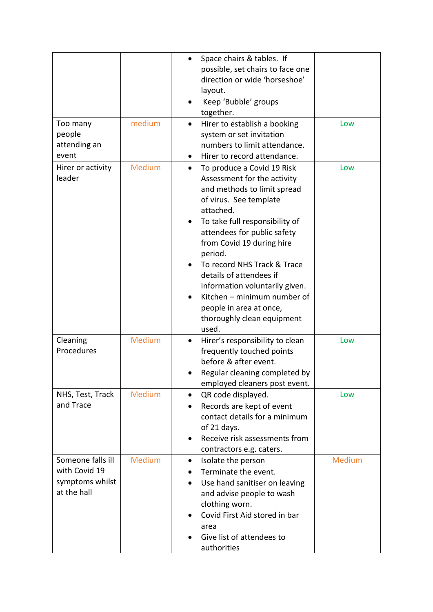| Too many                                                             | medium        | Space chairs & tables. If<br>$\bullet$<br>possible, set chairs to face one<br>direction or wide 'horseshoe'<br>layout.<br>Keep 'Bubble' groups<br>together.<br>Hirer to establish a booking<br>$\bullet$                                                                                                                                                                                                                                           | Low    |
|----------------------------------------------------------------------|---------------|----------------------------------------------------------------------------------------------------------------------------------------------------------------------------------------------------------------------------------------------------------------------------------------------------------------------------------------------------------------------------------------------------------------------------------------------------|--------|
| people<br>attending an<br>event                                      |               | system or set invitation<br>numbers to limit attendance.<br>Hirer to record attendance.<br>$\bullet$                                                                                                                                                                                                                                                                                                                                               |        |
| Hirer or activity<br>leader                                          | <b>Medium</b> | To produce a Covid 19 Risk<br>$\bullet$<br>Assessment for the activity<br>and methods to limit spread<br>of virus. See template<br>attached.<br>To take full responsibility of<br>attendees for public safety<br>from Covid 19 during hire<br>period.<br>To record NHS Track & Trace<br>details of attendees if<br>information voluntarily given.<br>Kitchen - minimum number of<br>people in area at once,<br>thoroughly clean equipment<br>used. | Low    |
| Cleaning<br>Procedures                                               | Medium        | Hirer's responsibility to clean<br>frequently touched points<br>before & after event.<br>Regular cleaning completed by<br>employed cleaners post event.                                                                                                                                                                                                                                                                                            | Low    |
| NHS, Test, Track<br>and Trace                                        | Medium        | QR code displayed.<br>$\bullet$<br>Records are kept of event<br>$\bullet$<br>contact details for a minimum<br>of 21 days.<br>Receive risk assessments from<br>contractors e.g. caters.                                                                                                                                                                                                                                                             | Low    |
| Someone falls ill<br>with Covid 19<br>symptoms whilst<br>at the hall | Medium        | Isolate the person<br>$\bullet$<br>Terminate the event.<br>Use hand sanitiser on leaving<br>$\bullet$<br>and advise people to wash<br>clothing worn.<br>Covid First Aid stored in bar<br>area<br>Give list of attendees to<br>authorities                                                                                                                                                                                                          | Medium |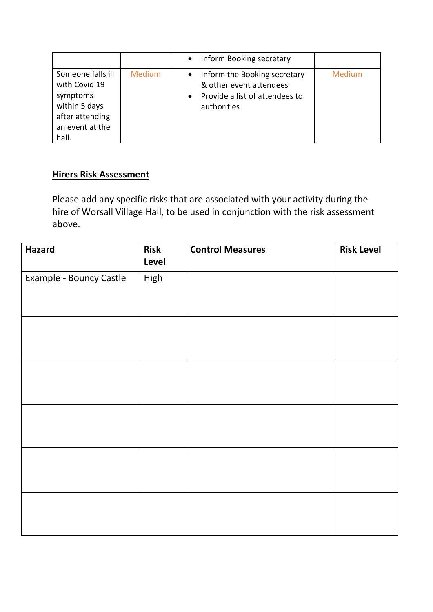|                                                                                                                |        | Inform Booking secretary<br>$\bullet$                                                                                              |        |
|----------------------------------------------------------------------------------------------------------------|--------|------------------------------------------------------------------------------------------------------------------------------------|--------|
| Someone falls ill<br>with Covid 19<br>symptoms<br>within 5 days<br>after attending<br>an event at the<br>hall. | Medium | Inform the Booking secretary<br>$\bullet$<br>& other event attendees<br>Provide a list of attendees to<br>$\bullet$<br>authorities | Medium |

## **Hirers Risk Assessment**

Please add any specific risks that are associated with your activity during the hire of Worsall Village Hall, to be used in conjunction with the risk assessment above.

| <b>Hazard</b>           | <b>Risk</b><br>Level | <b>Control Measures</b> | <b>Risk Level</b> |
|-------------------------|----------------------|-------------------------|-------------------|
| Example - Bouncy Castle | High                 |                         |                   |
|                         |                      |                         |                   |
|                         |                      |                         |                   |
|                         |                      |                         |                   |
|                         |                      |                         |                   |
|                         |                      |                         |                   |
|                         |                      |                         |                   |
|                         |                      |                         |                   |
|                         |                      |                         |                   |
|                         |                      |                         |                   |
|                         |                      |                         |                   |
|                         |                      |                         |                   |